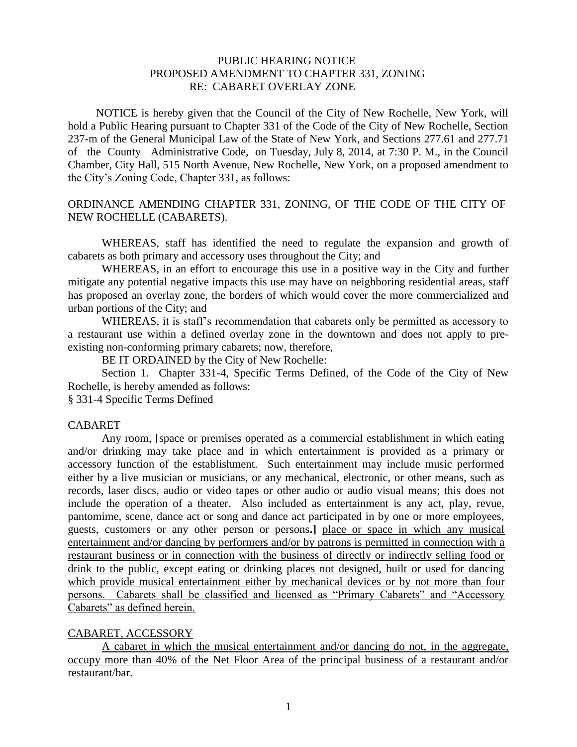## PUBLIC HEARING NOTICE PROPOSED AMENDMENT TO CHAPTER 331, ZONING RE: CABARET OVERLAY ZONE

 NOTICE is hereby given that the Council of the City of New Rochelle, New York, will hold a Public Hearing pursuant to Chapter 331 of the Code of the City of New Rochelle, Section 237-m of the General Municipal Law of the State of New York, and Sections 277.61 and 277.71 of the County Administrative Code, on Tuesday, July 8, 2014, at 7:30 P. M., in the Council Chamber, City Hall, 515 North Avenue, New Rochelle, New York, on a proposed amendment to the City's Zoning Code, Chapter 331, as follows:

## ORDINANCE AMENDING CHAPTER 331, ZONING, OF THE CODE OF THE CITY OF NEW ROCHELLE (CABARETS).

WHEREAS, staff has identified the need to regulate the expansion and growth of cabarets as both primary and accessory uses throughout the City; and

WHEREAS, in an effort to encourage this use in a positive way in the City and further mitigate any potential negative impacts this use may have on neighboring residential areas, staff has proposed an overlay zone, the borders of which would cover the more commercialized and urban portions of the City; and

WHEREAS, it is staff's recommendation that cabarets only be permitted as accessory to a restaurant use within a defined overlay zone in the downtown and does not apply to preexisting non-conforming primary cabarets; now, therefore,

BE IT ORDAINED by the City of New Rochelle:

Section 1. Chapter 331-4, Specific Terms Defined, of the Code of the City of New Rochelle, is hereby amended as follows:

§ 331-4 Specific Terms Defined

#### CABARET

Any room, [space or premises operated as a commercial establishment in which eating and/or drinking may take place and in which entertainment is provided as a primary or accessory function of the establishment. Such entertainment may include music performed either by a live musician or musicians, or any mechanical, electronic, or other means, such as records, laser discs, audio or video tapes or other audio or audio visual means; this does not include the operation of a theater. Also included as entertainment is any act, play, revue, pantomime, scene, dance act or song and dance act participated in by one or more employees, guests, customers or any other person or persons**.]** place or space in which any musical entertainment and/or dancing by performers and/or by patrons is permitted in connection with a restaurant business or in connection with the business of directly or indirectly selling food or drink to the public, except eating or drinking places not designed, built or used for dancing which provide musical entertainment either by mechanical devices or by not more than four persons. Cabarets shall be classified and licensed as "Primary Cabarets" and "Accessory Cabarets" as defined herein.

### CABARET, ACCESSORY

A cabaret in which the musical entertainment and/or dancing do not, in the aggregate, occupy more than 40% of the Net Floor Area of the principal business of a restaurant and/or restaurant/bar.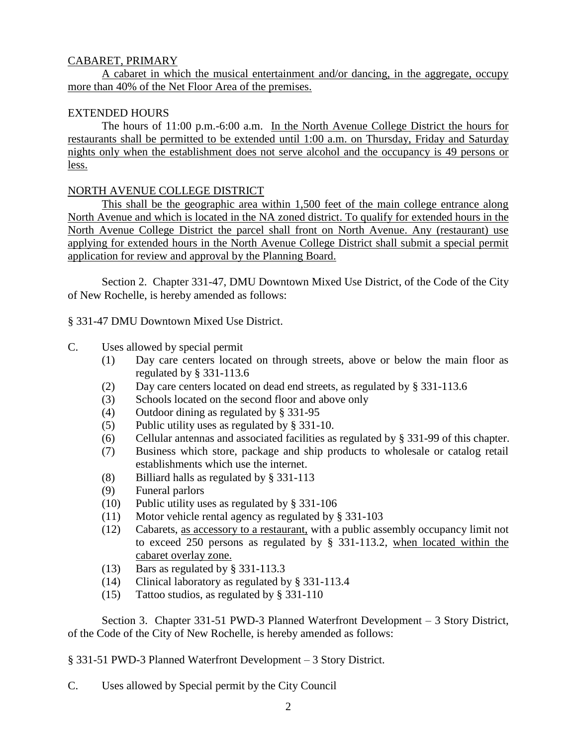## CABARET, PRIMARY

A cabaret in which the musical entertainment and/or dancing, in the aggregate, occupy more than 40% of the Net Floor Area of the premises.

## EXTENDED HOURS

The hours of 11:00 p.m.-6:00 a.m. In the North Avenue College District the hours for restaurants shall be permitted to be extended until 1:00 a.m. on Thursday, Friday and Saturday nights only when the establishment does not serve alcohol and the occupancy is 49 persons or less.

## NORTH AVENUE COLLEGE DISTRICT

This shall be the geographic area within 1,500 feet of the main college entrance along North Avenue and which is located in the NA zoned district. To qualify for extended hours in the North Avenue College District the parcel shall front on North Avenue. Any (restaurant) use applying for extended hours in the North Avenue College District shall submit a special permit application for review and approval by the Planning Board.

Section 2. Chapter 331-47, DMU Downtown Mixed Use District, of the Code of the City of New Rochelle, is hereby amended as follows:

§ 331-47 DMU Downtown Mixed Use District.

- C. Uses allowed by special permit
	- (1) Day care centers located on through streets, above or below the main floor as regulated by § 331-113.6
	- (2) Day care centers located on dead end streets, as regulated by § 331-113.6
	- (3) Schools located on the second floor and above only
	- (4) Outdoor dining as regulated by § 331-95
	- (5) Public utility uses as regulated by § 331-10.
	- (6) Cellular antennas and associated facilities as regulated by § 331-99 of this chapter.
	- (7) Business which store, package and ship products to wholesale or catalog retail establishments which use the internet.
	- (8) Billiard halls as regulated by § 331-113
	- (9) Funeral parlors
	- (10) Public utility uses as regulated by § 331-106
	- (11) Motor vehicle rental agency as regulated by § 331-103
	- (12) Cabarets, as accessory to a restaurant, with a public assembly occupancy limit not to exceed 250 persons as regulated by § 331-113.2, when located within the cabaret overlay zone.
	- (13) Bars as regulated by § 331-113.3
	- (14) Clinical laboratory as regulated by § 331-113.4
	- (15) Tattoo studios, as regulated by § 331-110

Section 3. Chapter 331-51 PWD-3 Planned Waterfront Development – 3 Story District, of the Code of the City of New Rochelle, is hereby amended as follows:

§ 331-51 PWD-3 Planned Waterfront Development – 3 Story District.

C. Uses allowed by Special permit by the City Council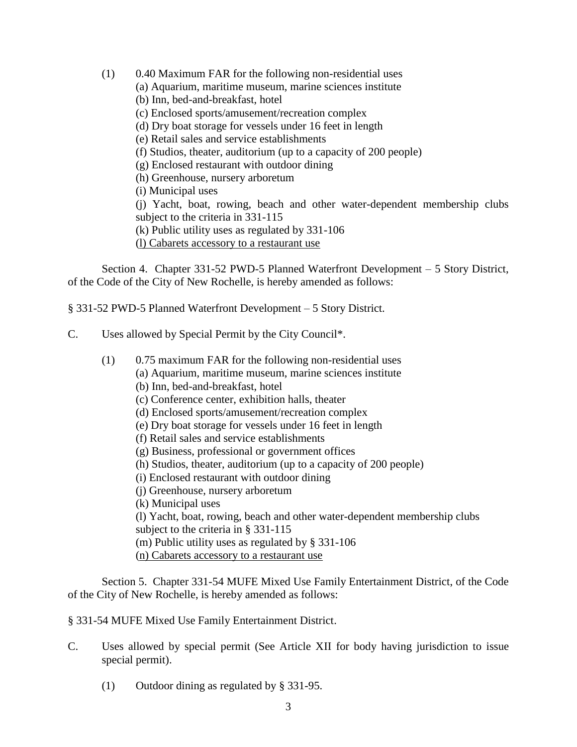(1) 0.40 Maximum FAR for the following non-residential uses (a) Aquarium, maritime museum, marine sciences institute (b) Inn, bed-and-breakfast, hotel (c) Enclosed sports/amusement/recreation complex (d) Dry boat storage for vessels under 16 feet in length (e) Retail sales and service establishments (f) Studios, theater, auditorium (up to a capacity of 200 people) (g) Enclosed restaurant with outdoor dining (h) Greenhouse, nursery arboretum (i) Municipal uses (j) Yacht, boat, rowing, beach and other water-dependent membership clubs subject to the criteria in 331-115 (k) Public utility uses as regulated by 331-106 (l) Cabarets accessory to a restaurant use

Section 4. Chapter 331-52 PWD-5 Planned Waterfront Development – 5 Story District, of the Code of the City of New Rochelle, is hereby amended as follows:

§ 331-52 PWD-5 Planned Waterfront Development – 5 Story District.

- C. Uses allowed by Special Permit by the City Council\*.
	- (1) 0.75 maximum FAR for the following non-residential uses (a) Aquarium, maritime museum, marine sciences institute (b) Inn, bed-and-breakfast, hotel (c) Conference center, exhibition halls, theater (d) Enclosed sports/amusement/recreation complex (e) Dry boat storage for vessels under 16 feet in length (f) Retail sales and service establishments (g) Business, professional or government offices (h) Studios, theater, auditorium (up to a capacity of 200 people) (i) Enclosed restaurant with outdoor dining (j) Greenhouse, nursery arboretum (k) Municipal uses (l) Yacht, boat, rowing, beach and other water-dependent membership clubs subject to the criteria in § 331-115 (m) Public utility uses as regulated by § 331-106
		- (n) Cabarets accessory to a restaurant use

Section 5. Chapter 331-54 MUFE Mixed Use Family Entertainment District, of the Code of the City of New Rochelle, is hereby amended as follows:

- § 331-54 MUFE Mixed Use Family Entertainment District.
- C. Uses allowed by special permit (See Article XII for body having jurisdiction to issue special permit).
	- (1) Outdoor dining as regulated by § 331-95.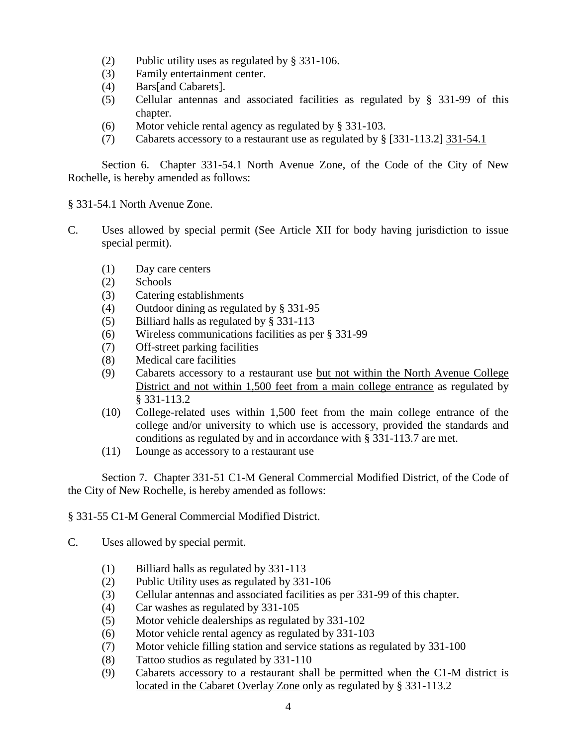- (2) Public utility uses as regulated by § 331-106.
- (3) Family entertainment center.
- (4) Bars[and Cabarets].
- (5) Cellular antennas and associated facilities as regulated by § 331-99 of this chapter.
- (6) Motor vehicle rental agency as regulated by § 331-103.
- (7) Cabarets accessory to a restaurant use as regulated by § [331-113.2] 331-54.1

Section 6. Chapter 331-54.1 North Avenue Zone, of the Code of the City of New Rochelle, is hereby amended as follows:

§ 331-54.1 North Avenue Zone.

- C. Uses allowed by special permit (See Article XII for body having jurisdiction to issue special permit).
	- (1) Day care centers
	- (2) Schools
	- (3) Catering establishments
	- (4) Outdoor dining as regulated by § 331-95
	- (5) Billiard halls as regulated by § 331-113
	- (6) Wireless communications facilities as per § 331-99
	- (7) Off-street parking facilities
	- (8) Medical care facilities
	- (9) Cabarets accessory to a restaurant use but not within the North Avenue College District and not within 1,500 feet from a main college entrance as regulated by § 331-113.2
	- (10) College-related uses within 1,500 feet from the main college entrance of the college and/or university to which use is accessory, provided the standards and conditions as regulated by and in accordance with § 331-113.7 are met.
	- (11) Lounge as accessory to a restaurant use

Section 7. Chapter 331-51 C1-M General Commercial Modified District, of the Code of the City of New Rochelle, is hereby amended as follows:

§ 331-55 C1-M General Commercial Modified District.

- C. Uses allowed by special permit.
	- (1) Billiard halls as regulated by 331-113
	- (2) Public Utility uses as regulated by 331-106
	- (3) Cellular antennas and associated facilities as per 331-99 of this chapter.
	- (4) Car washes as regulated by 331-105
	- (5) Motor vehicle dealerships as regulated by 331-102
	- (6) Motor vehicle rental agency as regulated by 331-103
	- (7) Motor vehicle filling station and service stations as regulated by 331-100
	- (8) Tattoo studios as regulated by 331-110
	- (9) Cabarets accessory to a restaurant shall be permitted when the C1-M district is located in the Cabaret Overlay Zone only as regulated by § 331-113.2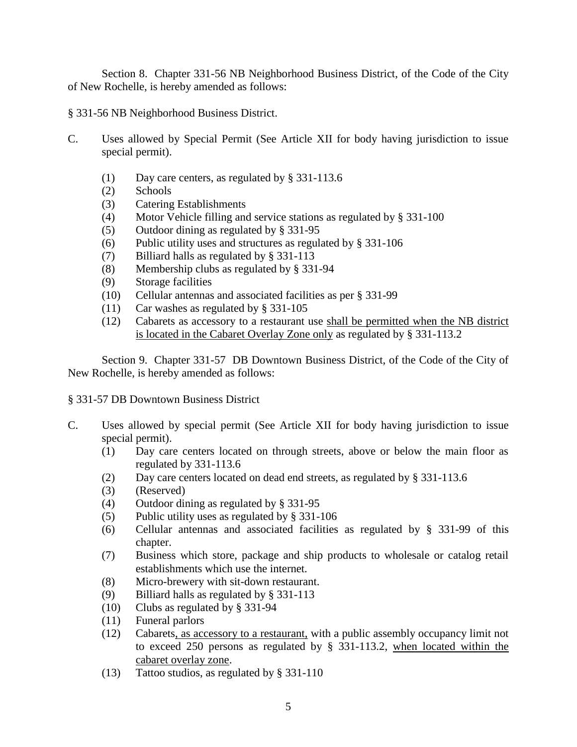Section 8. Chapter 331-56 NB Neighborhood Business District, of the Code of the City of New Rochelle, is hereby amended as follows:

§ 331-56 NB Neighborhood Business District.

- C. Uses allowed by Special Permit (See Article XII for body having jurisdiction to issue special permit).
	- (1) Day care centers, as regulated by § 331-113.6
	- (2) Schools
	- (3) Catering Establishments
	- (4) Motor Vehicle filling and service stations as regulated by § 331-100
	- (5) Outdoor dining as regulated by § 331-95
	- (6) Public utility uses and structures as regulated by § 331-106
	- (7) Billiard halls as regulated by § 331-113
	- (8) Membership clubs as regulated by § 331-94
	- (9) Storage facilities
	- (10) Cellular antennas and associated facilities as per § 331-99
	- (11) Car washes as regulated by § 331-105
	- (12) Cabarets as accessory to a restaurant use shall be permitted when the NB district is located in the Cabaret Overlay Zone only as regulated by § 331-113.2

Section 9. Chapter 331-57 DB Downtown Business District, of the Code of the City of New Rochelle, is hereby amended as follows:

§ 331-57 DB Downtown Business District

- C. Uses allowed by special permit (See Article XII for body having jurisdiction to issue special permit).
	- (1) Day care centers located on through streets, above or below the main floor as regulated by 331-113.6
	- (2) Day care centers located on dead end streets, as regulated by § 331-113.6
	- (3) (Reserved)
	- (4) Outdoor dining as regulated by § 331-95
	- (5) Public utility uses as regulated by § 331-106
	- (6) Cellular antennas and associated facilities as regulated by § 331-99 of this chapter.
	- (7) Business which store, package and ship products to wholesale or catalog retail establishments which use the internet.
	- (8) Micro-brewery with sit-down restaurant.
	- (9) Billiard halls as regulated by § 331-113
	- (10) Clubs as regulated by § 331-94
	- (11) Funeral parlors
	- (12) Cabarets, as accessory to a restaurant, with a public assembly occupancy limit not to exceed 250 persons as regulated by § 331-113.2, when located within the cabaret overlay zone.
	- (13) Tattoo studios, as regulated by § 331-110